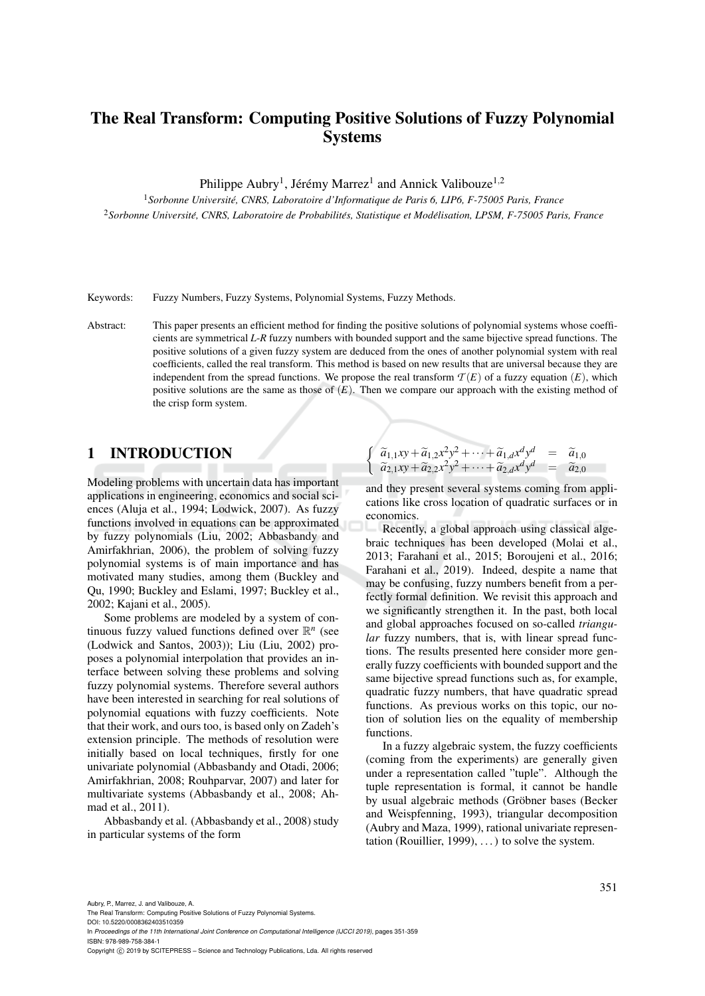# The Real Transform: Computing Positive Solutions of Fuzzy Polynomial Systems

Philippe Aubry<sup>1</sup>, Jérémy Marrez<sup>1</sup> and Annick Valibouze<sup>1,2</sup>

<sup>1</sup>*Sorbonne Universite, CNRS, Laboratoire d'Informatique de Paris 6, LIP6, F-75005 Paris, France ´* <sup>2</sup>*Sorbonne Universite, CNRS, Laboratoire de Probabilit ´ es, Statistique et Mod ´ elisation, LPSM, F-75005 Paris, France ´*

Keywords: Fuzzy Numbers, Fuzzy Systems, Polynomial Systems, Fuzzy Methods.

Abstract: This paper presents an efficient method for finding the positive solutions of polynomial systems whose coefficients are symmetrical *L*-*R* fuzzy numbers with bounded support and the same bijective spread functions. The positive solutions of a given fuzzy system are deduced from the ones of another polynomial system with real coefficients, called the real transform. This method is based on new results that are universal because they are independent from the spread functions. We propose the real transform  $T(E)$  of a fuzzy equation  $(E)$ , which positive solutions are the same as those of  $(E)$ . Then we compare our approach with the existing method of the crisp form system.

# 1 INTRODUCTION

Modeling problems with uncertain data has important applications in engineering, economics and social sciences (Aluja et al., 1994; Lodwick, 2007). As fuzzy functions involved in equations can be approximated by fuzzy polynomials (Liu, 2002; Abbasbandy and Amirfakhrian, 2006), the problem of solving fuzzy polynomial systems is of main importance and has motivated many studies, among them (Buckley and Qu, 1990; Buckley and Eslami, 1997; Buckley et al., 2002; Kajani et al., 2005).

Some problems are modeled by a system of continuous fuzzy valued functions defined over  $\mathbb{R}^n$  (see (Lodwick and Santos, 2003)); Liu (Liu, 2002) proposes a polynomial interpolation that provides an interface between solving these problems and solving fuzzy polynomial systems. Therefore several authors have been interested in searching for real solutions of polynomial equations with fuzzy coefficients. Note that their work, and ours too, is based only on Zadeh's extension principle. The methods of resolution were initially based on local techniques, firstly for one univariate polynomial (Abbasbandy and Otadi, 2006; Amirfakhrian, 2008; Rouhparvar, 2007) and later for multivariate systems (Abbasbandy et al., 2008; Ahmad et al., 2011).

Abbasbandy et al. (Abbasbandy et al., 2008) study in particular systems of the form

$$
\begin{cases}\n\tilde{a}_{1,1}xy + \tilde{a}_{1,2}x^2y^2 + \cdots + \tilde{a}_{1,d}x^d y^d = \tilde{a}_{1,0} \\
\tilde{a}_{2,1}xy + \tilde{a}_{2,2}x^2y^2 + \cdots + \tilde{a}_{2,d}x^d y^d = \tilde{a}_{2,0}\n\end{cases}
$$

and they present several systems coming from applications like cross location of quadratic surfaces or in economics.

Recently, a global approach using classical algebraic techniques has been developed (Molai et al., 2013; Farahani et al., 2015; Boroujeni et al., 2016; Farahani et al., 2019). Indeed, despite a name that may be confusing, fuzzy numbers benefit from a perfectly formal definition. We revisit this approach and we significantly strengthen it. In the past, both local and global approaches focused on so-called *triangular* fuzzy numbers, that is, with linear spread functions. The results presented here consider more generally fuzzy coefficients with bounded support and the same bijective spread functions such as, for example, quadratic fuzzy numbers, that have quadratic spread functions. As previous works on this topic, our notion of solution lies on the equality of membership functions.

In a fuzzy algebraic system, the fuzzy coefficients (coming from the experiments) are generally given under a representation called "tuple". Although the tuple representation is formal, it cannot be handle by usual algebraic methods (Gröbner bases (Becker and Weispfenning, 1993), triangular decomposition (Aubry and Maza, 1999), rational univariate representation (Rouillier, 1999),  $\dots$ ) to solve the system.

The Real Transform: Computing Positive Solutions of Fuzzy Polynomial Systems. DOI: 10.5220/0008362403510359

In *Proceedings of the 11th International Joint Conference on Computational Intelligence (IJCCI 2019)*, pages 351-359 ISBN: 978-989-758-384-1

Copyright (C) 2019 by SCITEPRESS - Science and Technology Publications, Lda. All rights reserved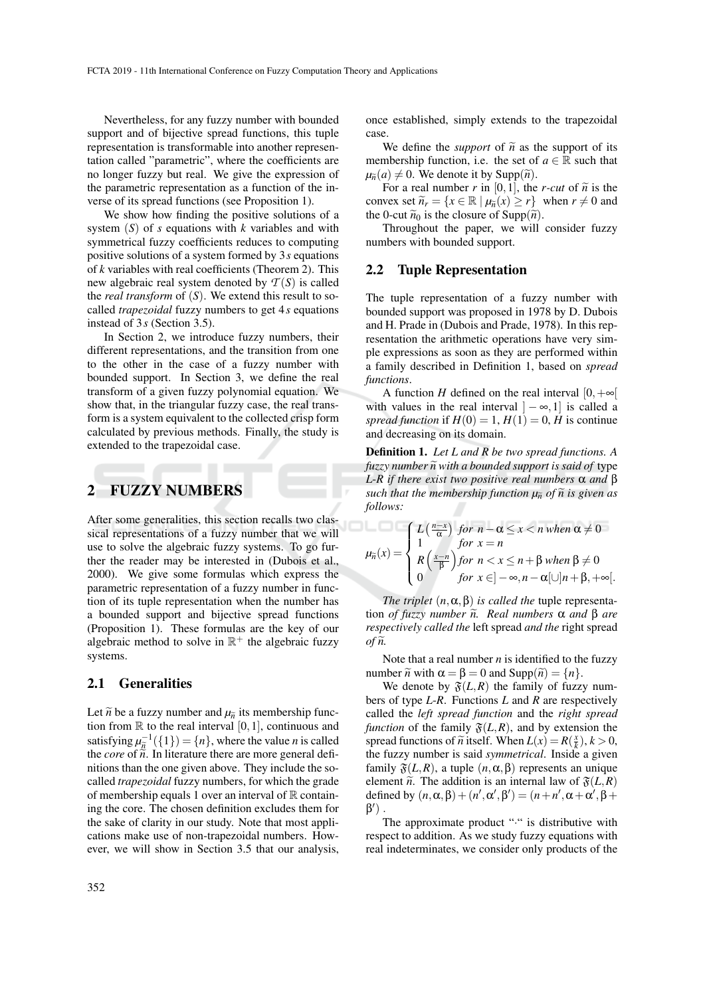Nevertheless, for any fuzzy number with bounded support and of bijective spread functions, this tuple representation is transformable into another representation called "parametric", where the coefficients are no longer fuzzy but real. We give the expression of the parametric representation as a function of the inverse of its spread functions (see Proposition 1).

We show how finding the positive solutions of a system (*S*) of *s* equations with *k* variables and with symmetrical fuzzy coefficients reduces to computing positive solutions of a system formed by 3*s* equations of *k* variables with real coefficients (Theorem 2). This new algebraic real system denoted by  $T(S)$  is called the *real transform* of (*S*). We extend this result to socalled *trapezoidal* fuzzy numbers to get 4*s* equations instead of 3*s* (Section 3.5).

In Section 2, we introduce fuzzy numbers, their different representations, and the transition from one to the other in the case of a fuzzy number with bounded support. In Section 3, we define the real transform of a given fuzzy polynomial equation. We show that, in the triangular fuzzy case, the real transform is a system equivalent to the collected crisp form calculated by previous methods. Finally, the study is extended to the trapezoidal case.

### 2 FUZZY NUMBERS

After some generalities, this section recalls two classical representations of a fuzzy number that we will use to solve the algebraic fuzzy systems. To go further the reader may be interested in (Dubois et al., 2000). We give some formulas which express the parametric representation of a fuzzy number in function of its tuple representation when the number has a bounded support and bijective spread functions (Proposition 1). These formulas are the key of our algebraic method to solve in  $\mathbb{R}^+$  the algebraic fuzzy systems.

#### 2.1 Generalities

Let  $\tilde{n}$  be a fuzzy number and  $\mu_{\tilde{n}}$  its membership function from  $\mathbb R$  to the real interval [0, 1], continuous and satisfying  $\mu_{\tilde{n}}^{-1}(\{1\}) = \{n\}$ , where the value *n* is called the *core* of  $\tilde{n}$ . In literature there are more general defi-<br>the *core* of  $\tilde{n}$ . In literature there are more general definitions than the one given above. They include the socalled *trapezoidal* fuzzy numbers, for which the grade of membership equals 1 over an interval of  $\mathbb R$  containing the core. The chosen definition excludes them for the sake of clarity in our study. Note that most applications make use of non-trapezoidal numbers. However, we will show in Section 3.5 that our analysis, once established, simply extends to the trapezoidal case.

We define the *support* of  $\tilde{n}$  as the support of its membership function, i.e. the set of  $a \in \mathbb{R}$  such that  $\mu_{\tilde{n}}(a) \neq 0$ . We denote it by Supp $(\tilde{n})$ .

For a real number *r* in [0, 1], the *r-cut* of  $\tilde{n}$  is the convex set  $\widetilde{n}_r = \{x \in \mathbb{R} \mid \mu_{\widetilde{n}}(x) \ge r\}$  when  $r \neq 0$  and the 0-cut  $\widetilde{n}_0$  is the closure of Supp( $\widetilde{n}$ ).

Throughout the paper, we will consider fuzzy numbers with bounded support.

#### 2.2 Tuple Representation

The tuple representation of a fuzzy number with bounded support was proposed in 1978 by D. Dubois and H. Prade in (Dubois and Prade, 1978). In this representation the arithmetic operations have very simple expressions as soon as they are performed within a family described in Definition 1, based on *spread functions*.

A function *H* defined on the real interval  $[0, +\infty]$ with values in the real interval  $]-\infty,1]$  is called a *spread function* if  $H(0) = 1, H(1) = 0, H$  is continue and decreasing on its domain.

Definition 1. *Let L and R be two spread functions. A fuzzy number*  $\tilde{n}$  *with a bounded support is said of type L*-*R if there exist two positive real numbers* α *and* β *such that the membership function*  $\mu_{\tilde{n}}$  *of*  $\tilde{n}$  *is given as follows:*

$$
\mu_{\tilde{n}}(x) = \begin{cases} L\left(\frac{n-x}{\alpha}\right) & \text{for } n - \alpha \leq x < n \text{ when } \alpha \neq 0 \\ 1 & \text{for } x = n \\ R\left(\frac{x-n}{\beta}\right) & \text{for } n < x \leq n + \beta \text{ when } \beta \neq 0 \\ 0 & \text{for } x \in ]-\infty, n - \alpha[\cup]n + \beta, +\infty[.
$$

*The triplet*  $(n, \alpha, \beta)$  *is called the tuple representa*tion *of fuzzy number*  $ilde{\bf n}$ . Real numbers  $\alpha$  and  $\beta$  are *respectively called the* left spread *and the* right spread  $of \tilde{n}$ .

Note that a real number *n* is identified to the fuzzy number  $\tilde{n}$  with  $\alpha = \beta = 0$  and  $\text{Supp}(\tilde{n}) = \{n\}.$ 

We denote by  $\mathfrak{F}(L,R)$  the family of fuzzy numbers of type *L*-*R*. Functions *L* and *R* are respectively called the *left spread function* and the *right spread function* of the family  $\mathfrak{F}(L,R)$ , and by extension the spread functions of  $\tilde{n}$  itself. When  $L(x) = R(\frac{x}{k}), k > 0$ , the fuzzy number is said symmetrical. Inside a given the fuzzy number is said *symmetrical*. Inside a given family  $\mathfrak{F}(L,R)$ , a tuple  $(n, \alpha, \beta)$  represents an unique element  $\tilde{n}$ . The addition is an internal law of  $\mathfrak{F}(L,R)$ defined by  $(n, \alpha, \beta) + (n', \alpha', \beta') = (n + n', \alpha + \alpha', \beta + \alpha')$  $\beta'$ ).

The approximate product "." is distributive with respect to addition. As we study fuzzy equations with real indeterminates, we consider only products of the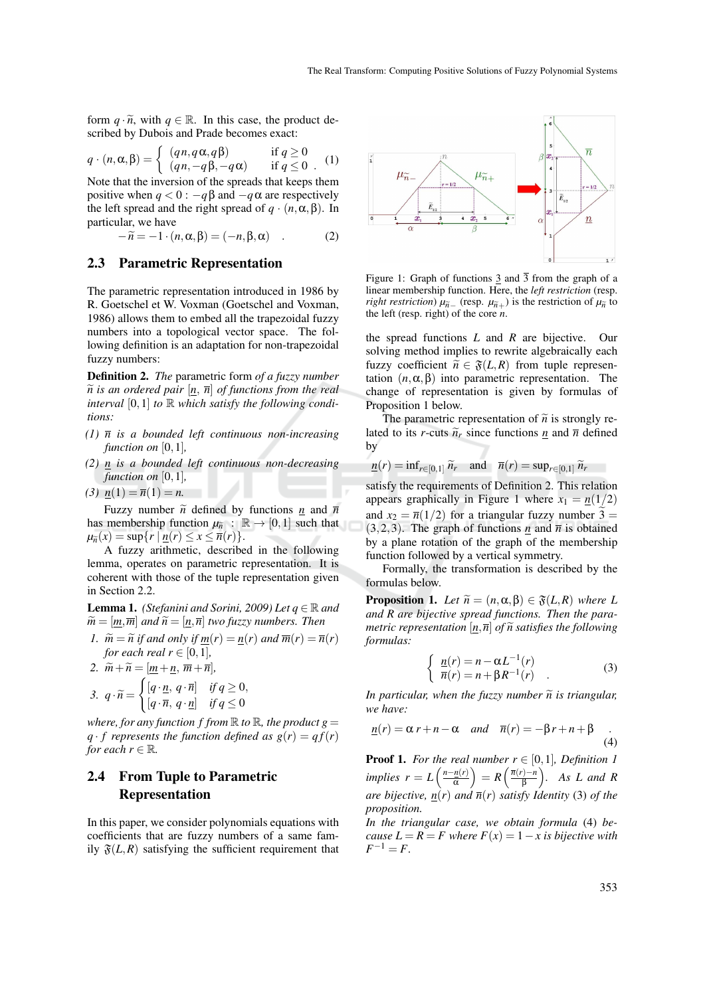form  $q \cdot \tilde{n}$ , with  $q \in \mathbb{R}$ . In this case, the product described by Dubois and Prade becomes exact:

$$
q \cdot (n, \alpha, \beta) = \begin{cases} (qn, q\alpha, q\beta) & \text{if } q \ge 0\\ (qn, -q\beta, -q\alpha) & \text{if } q \le 0 \end{cases} (1)
$$

Note that the inversion of the spreads that keeps them positive when  $q < 0$ :  $-q\beta$  and  $-q\alpha$  are respectively the left spread and the right spread of  $q \cdot (n, \alpha, \beta)$ . In particular, we have

$$
-\widetilde{n} = -1 \cdot (n, \alpha, \beta) = (-n, \beta, \alpha) \quad . \tag{2}
$$

#### 2.3 Parametric Representation

The parametric representation introduced in 1986 by R. Goetschel et W. Voxman (Goetschel and Voxman, 1986) allows them to embed all the trapezoidal fuzzy numbers into a topological vector space. The following definition is an adaptation for non-trapezoidal fuzzy numbers:

Definition 2. *The* parametric form *of a fuzzy number*  $\tilde{n}$  *is an ordered pair*  $[n, \bar{n}]$  *of functions from the real interval* [0,1] *to*  $\mathbb R$  *which satisfy the following conditions:*

- *(1) n is a bounded left continuous non-increasing function on* [0,1]*,*
- *(2) n is a bounded left continuous non-decreasing function on* [0,1]*,*
- (3)  $n(1) = \overline{n}(1) = n$ .

Fuzzy number  $\tilde{n}$  defined by functions  $n \neq n$  and  $\bar{n}$ has membership function  $\mu_{\tilde{n}}$  :  $\mathbb{R} \to [0,1]$  such that  $\mu_{\tilde{n}}(x) = \sup\{r \mid n(r) \leq x \leq \overline{n}(r)\}.$ 

A fuzzy arithmetic, described in the following lemma, operates on parametric representation. It is coherent with those of the tuple representation given in Section 2.2.

**Lemma 1.** *(Stefanini and Sorini, 2009) Let*  $q \in \mathbb{R}$  and  $\widetilde{m} = [\underline{m}, \overline{m}]$  *and*  $\widetilde{n} = [\underline{n}, \overline{n}]$  *two fuzzy numbers. Then* 

- *1.*  $\widetilde{m} = \widetilde{n}$  if and only if  $\underline{m}(r) = \underline{n}(r)$  and  $\overline{m}(r) = \overline{n}(r)$ *for each real*  $r \in [0,1]$ *,*
- 2.  $\widetilde{m} + \widetilde{n} = [\underline{m} + \underline{n}, \overline{m} + \overline{n}]$

$$
3. \ \ q \cdot \widetilde{n} = \begin{cases} [q \cdot \underline{n}, \ q \cdot \overline{n}] & \text{if } q \ge 0, \\ [q \cdot \overline{n}, \ q \cdot \underline{n}] & \text{if } q \le 0 \end{cases}
$$

*where, for any function f from*  $\mathbb R$  *to*  $\mathbb R$ *, the product*  $g =$ *q* · *f* represents the function defined as  $g(r) = qf(r)$ *for each*  $r \in \mathbb{R}$ *.* 

### 2.4 From Tuple to Parametric Representation

In this paper, we consider polynomials equations with coefficients that are fuzzy numbers of a same family  $\mathfrak{F}(L,R)$  satisfying the sufficient requirement that



Figure 1: Graph of functions  $\frac{3}{3}$  and  $\frac{3}{3}$  from the graph of a linear membership function. Here, the *left restriction* (resp. *right restriction*)  $\mu_{\tilde{n}}$  (resp.  $\mu_{\tilde{n}+}$ ) is the restriction of  $\mu_{\tilde{n}}$  to the left (resp. right) of the core *n*.

the spread functions *L* and *R* are bijective. Our solving method implies to rewrite algebraically each fuzzy coefficient  $\tilde{n} \in \mathfrak{F}(L,R)$  from tuple representation  $(n, \alpha, \beta)$  into parametric representation. The change of representation is given by formulas of Proposition 1 below.

The parametric representation of  $\tilde{n}$  is strongly related to its *r*-cuts  $\tilde{n}_r$  since functions <u>*n*</u> and  $\bar{n}$  defined by

$$
\underline{n}(r) = \inf_{r \in [0,1]} \widetilde{n}_r \quad \text{and} \quad \overline{n}(r) = \sup_{r \in [0,1]} \widetilde{n}_r
$$

satisfy the requirements of Definition 2. This relation appears graphically in Figure 1 where  $x_1 = n(1/2)$ and  $x_2 = \overline{n}(1/2)$  for a triangular fuzzy number  $\tilde{3} =$ (3,2,3). The graph of functions  $\underline{n}$  and  $\overline{n}$  is obtained by a plane rotation of the graph of the membership function followed by a vertical symmetry.

Formally, the transformation is described by the formulas below.

**Proposition 1.** Let  $\widetilde{n} = (n, \alpha, \beta) \in \mathfrak{F}(L,R)$  where L *and R are bijective spread functions. Then the parametric representation*  $[n,\overline{n}]$  *of*  $\widetilde{n}$  *satisfies the following formulas:*

$$
\begin{cases}\n \frac{n(r)}{n(r)} = n - \alpha L^{-1}(r) \\
 \overline{n}(r) = n + \beta R^{-1}(r)\n\end{cases} (3)
$$

*In particular, when the fuzzy number*  $\tilde{n}$  *is triangular, we have:*

$$
\underline{n}(r) = \alpha r + n - \alpha \quad \text{and} \quad \overline{n}(r) = -\beta r + n + \beta \quad . \tag{4}
$$

**Proof 1.** For the real number  $r \in [0,1]$ , Definition 1  $implies$   $r = L\left(\frac{n - \underline{n}(r)}{\alpha}\right)$  $\left(\frac{n(r)}{\alpha}\right) = R\left(\frac{\overline{n}(r)-n}{\beta}\right)$  $\binom{n}{\beta}$ . As L and R *are bijective,*  $\overline{n}(r)$  *and*  $\overline{n}(r)$  *satisfy Identity* (3) *of the proposition.*

*In the triangular case, we obtain formula* (4) *because*  $L = R = F$  where  $F(x) = 1 - x$  is bijective with  $F^{-1} = F$ .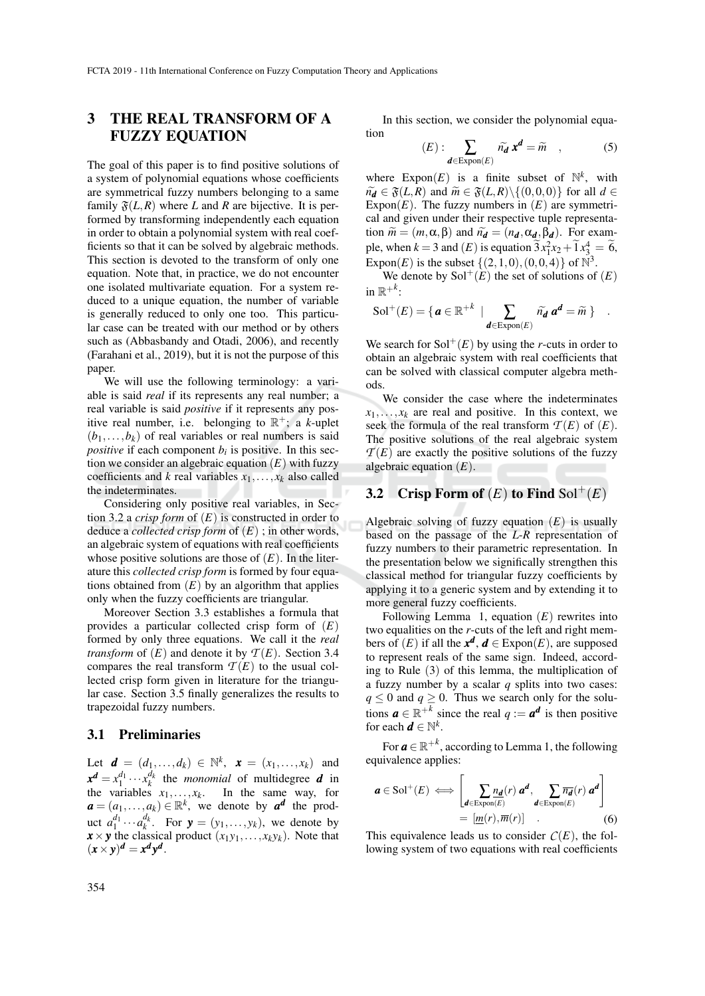# 3 THE REAL TRANSFORM OF A FUZZY EQUATION

The goal of this paper is to find positive solutions of a system of polynomial equations whose coefficients are symmetrical fuzzy numbers belonging to a same family  $\mathfrak{F}(L,R)$  where *L* and *R* are bijective. It is performed by transforming independently each equation in order to obtain a polynomial system with real coefficients so that it can be solved by algebraic methods. This section is devoted to the transform of only one equation. Note that, in practice, we do not encounter one isolated multivariate equation. For a system reduced to a unique equation, the number of variable is generally reduced to only one too. This particular case can be treated with our method or by others such as (Abbasbandy and Otadi, 2006), and recently (Farahani et al., 2019), but it is not the purpose of this paper.

We will use the following terminology: a variable is said *real* if its represents any real number; a real variable is said *positive* if it represents any positive real number, i.e. belonging to  $\mathbb{R}^+$ ; a *k*-uplet  $(b_1, \ldots, b_k)$  of real variables or real numbers is said *positive* if each component  $b_i$  is positive. In this section we consider an algebraic equation (*E*) with fuzzy coefficients and *k* real variables  $x_1, \ldots, x_k$  also called the indeterminates.

Considering only positive real variables, in Section 3.2 a *crisp form* of (*E*) is constructed in order to deduce a *collected crisp form* of (*E*) ; in other words, an algebraic system of equations with real coefficients whose positive solutions are those of  $(E)$ . In the literature this *collected crisp form* is formed by four equations obtained from  $(E)$  by an algorithm that applies only when the fuzzy coefficients are triangular.

Moreover Section 3.3 establishes a formula that provides a particular collected crisp form of (*E*) formed by only three equations. We call it the *real transform* of  $(E)$  and denote it by  $T(E)$ . Section 3.4 compares the real transform  $\mathcal{T}(E)$  to the usual collected crisp form given in literature for the triangular case. Section 3.5 finally generalizes the results to trapezoidal fuzzy numbers.

#### 3.1 Preliminaries

Let  $\mathbf{d} = (d_1, ..., d_k) \in \mathbb{N}^k$ ,  $\mathbf{x} = (x_1, ..., x_k)$  and  $x^d = x_1^{d_1} \cdots x_k^{d_k}$  the *monomial* of multidegree *d* in the variables  $x_1, \ldots, x_k$ . In the same way, for  $a = (a_1, \ldots, a_k) \in \mathbb{R}^k$ , we denote by  $a^d$  the product  $a_1^{d_1} \cdots a_k^{d_k}$ . For  $\mathbf{y} = (y_1, \ldots, y_k)$ , we denote by  $\mathbf{x} \times \mathbf{y}$  the classical product  $(x_1y_1, \ldots, x_ky_k)$ . Note that  $(x \times y)^d = x^d y^d$ .

In this section, we consider the polynomial equation

$$
(E): \sum_{\mathbf{d}\in \text{Expon}(E)} \widetilde{n}_{\mathbf{d}} \mathbf{x}^{\mathbf{d}} = \widetilde{m} \quad , \tag{5}
$$

where  $\text{Expon}(E)$  is a finite subset of  $\mathbb{N}^k$ , with  $\widetilde{n}_d \in \mathfrak{F}(L,R)$  and  $\widetilde{m} \in \mathfrak{F}(L,R) \setminus \{(0,0,0)\}\$  for all  $d \in$ Expon( $E$ ). The fuzzy numbers in  $(E)$  are symmetrical and given under their respective tuple representation  $\widetilde{m} = (m, \alpha, \beta)$  and  $\widetilde{n_d} = (n_d, \alpha_d, \beta_d)$ . For example, when  $k = 3$  and  $(E)$  is equation  $3x_1^2x_2 + 1x_3^4 = 6$ , Expon(*E*) is the subset  $\{(2,1,0), (0,0,4)\}$  of  $\mathbb{N}^3$ .

We denote by  $Sol^+(E)$  the set of solutions of  $(E)$ in  $\mathbb{R}^{+k}$ :

$$
\mathrm{Sol}^+(E) = \{ \mathbf{a} \in \mathbb{R}^{+k} \mid \sum_{\mathbf{d} \in \mathrm{Expon}(E)} \widetilde{n_{\mathbf{d}}} \mathbf{a}^{\mathbf{d}} = \widetilde{m} \} .
$$

We search for  $Sol^+(E)$  by using the *r*-cuts in order to obtain an algebraic system with real coefficients that can be solved with classical computer algebra methods.

We consider the case where the indeterminates  $x_1, \ldots, x_k$  are real and positive. In this context, we seek the formula of the real transform  $T(E)$  of  $(E)$ . The positive solutions of the real algebraic system  $T(E)$  are exactly the positive solutions of the fuzzy algebraic equation (*E*).

# **3.2** Crisp Form of  $(E)$  to Find Sol<sup>+</sup> $(E)$

Algebraic solving of fuzzy equation (*E*) is usually based on the passage of the *L*-*R* representation of fuzzy numbers to their parametric representation. In the presentation below we significally strengthen this classical method for triangular fuzzy coefficients by applying it to a generic system and by extending it to more general fuzzy coefficients.

Following Lemma 1, equation (*E*) rewrites into two equalities on the *r*-cuts of the left and right members of  $(E)$  if all the  $x^d$ ,  $d \in \text{Expon}(E)$ , are supposed to represent reals of the same sign. Indeed, according to Rule (3) of this lemma, the multiplication of a fuzzy number by a scalar *q* splits into two cases:  $q \leq 0$  and  $q \geq 0$ . Thus we search only for the solutions  $\mathbf{a} \in \mathbb{R}^{+k}$  since the real  $q := \mathbf{a}^{\mathbf{d}}$  is then positive for each  $\boldsymbol{d} \in \mathbb{N}^k$ .

For  $\boldsymbol{a} \in \mathbb{R}^{+k}$ , according to Lemma 1, the following equivalence applies:

$$
\mathbf{a} \in \text{Sol}^+(E) \iff \left[ \sum_{\mathbf{d} \in \text{Expon}(E)} \frac{n_{\mathbf{d}}(r) \mathbf{a}^{\mathbf{d}}}{\sum_{\mathbf{d} \in \text{Expon}(E)} \overline{n_{\mathbf{d}}}(r) \mathbf{a}^{\mathbf{d}}} \right] = \left[ \underline{m}(r), \overline{m}(r) \right] \quad . \tag{6}
$$

This equivalence leads us to consider  $C(E)$ , the following system of two equations with real coefficients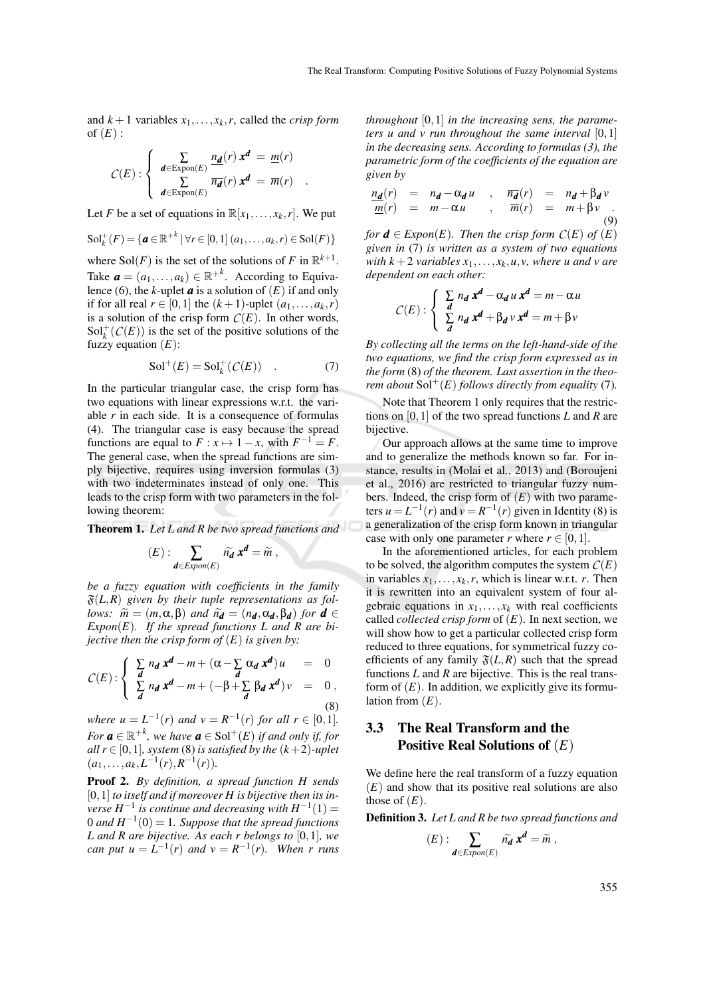and  $k+1$  variables  $x_1, \ldots, x_k, r$ , called the *crisp form* of  $(E)$  :

$$
C(E): \begin{cases} \sum_{\mathbf{d} \in \text{Expon}(E)} \frac{n_{\mathbf{d}}(r) \mathbf{x}^{\mathbf{d}} = m(r)}{\sum_{\mathbf{d} \in \text{Expon}(E)} \overline{n_{\mathbf{d}}}(r) \mathbf{x}^{\mathbf{d}} = \overline{m}(r)} .\end{cases}
$$

Let *F* be a set of equations in  $\mathbb{R}[x_1, \ldots, x_k, r]$ . We put

$$
\mathrm{Sol}_k^+(F)=\{a\in\mathbb{R}^{+k}\mid\forall r\in[0,1]\ (a_1,\ldots,a_k,r)\in\mathrm{Sol}(F)\}
$$

where  $\text{Sol}(F)$  is the set of the solutions of F in  $\mathbb{R}^{k+1}$ . Take  $\boldsymbol{a} = (a_1, \dots, a_k) \in \mathbb{R}^{+k}$ . According to Equivalence (6), the *k*-uplet  $\boldsymbol{a}$  is a solution of  $(E)$  if and only if for all real  $r \in [0,1]$  the  $(k+1)$ -uplet  $(a_1,\ldots,a_k,r)$ is a solution of the crisp form  $C(E)$ . In other words,  $Sol<sub>k</sub><sup>+</sup>(C(E))$  is the set of the positive solutions of the fuzzy equation  $(E)$ :

$$
\mathrm{Sol}^+(E) = \mathrm{Sol}_k^+(\mathcal{C}(E)) \quad . \tag{7}
$$

In the particular triangular case, the crisp form has two equations with linear expressions w.r.t. the variable *r* in each side. It is a consequence of formulas (4). The triangular case is easy because the spread functions are equal to  $F: x \mapsto 1-x$ , with  $F^{-1} = F$ . The general case, when the spread functions are simply bijective, requires using inversion formulas (3) with two indeterminates instead of only one. This leads to the crisp form with two parameters in the following theorem:

Theorem 1. *Let L and R be two spread functions and*

$$
(E): \sum_{\mathbf{d}\in Expon(E)} \widetilde{n_{\mathbf{d}}} \mathbf{x}^{\mathbf{d}} = \widetilde{m},
$$

*be a fuzzy equation with coefficients in the family*  $\mathfrak{F}(L,R)$  given by their tuple representations as fol*lows:*  $\widetilde{m} = (m, \alpha, \beta)$  *and*  $\widetilde{n_d} = (n_d, \alpha_d, \beta_d)$  *for*  $d \in$ *Expon*(*E*)*. If the spread functions L and R are bijective then the crisp form of* (*E*) *is given by:*

$$
C(E): \begin{cases} \sum_{d} n_d x^d - m + (\alpha - \sum_{d} \alpha_d x^d) u = 0 \\ \sum_{d} n_d x^d - m + (-\beta + \sum_{d} \beta_d x^d) v = 0, \\ 8 \end{cases}
$$

*where*  $u = L^{-1}(r)$  *and*  $v = R^{-1}(r)$  *for all*  $r \in [0,1]$ *. For*  $\boldsymbol{a} \in \mathbb{R}^{+k}$ , we have  $\boldsymbol{a} \in \text{Sol}^+(E)$  if and only if, for *all*  $r \in [0,1]$ *, system* (8) *is satisfied by the*  $(k+2)$ *-uplet*  $(a_1, \ldots, a_k, L^{-1}(r), R^{-1}(r)).$ 

Proof 2. *By definition, a spread function H sends* [0,1] *to itself and if moreover H is bijective then its in-* $\mu$  *verse*  $H^{-1}$  *is continue and decreasing with*  $H^{-1}(1) =$  $0$  and  $H^{-1}(0) = 1$ . Suppose that the spread functions *L and R are bijective. As each r belongs to* [0,1]*, we can put u* =  $L^{-1}(r)$  *and*  $v = R^{-1}(r)$ *. When r runs* 

*throughout* [0,1] *in the increasing sens, the parameters u and v run throughout the same interval* [0,1] *in the decreasing sens. According to formulas (3), the parametric form of the coefficients of the equation are given by*

$$
\frac{n_d(r)}{m(r)} = n_d - \alpha_d u \quad , \quad \overline{n_d}(r) = n_d + \beta_d v \n \underline{m}(r) = m - \alpha u \quad , \quad \overline{m}(r) = m + \beta v \quad .
$$
\n(9)

*for*  $\mathbf{d} \in E$ *xpon*(*E*)*. Then the crisp form*  $C(E)$  *of* (*E*) *given in* (7) *is written as a system of two equations with*  $k + 2$  *variables*  $x_1, \ldots, x_k, u, v$ *, where u and v are dependent on each other:*

$$
C(E): \begin{cases} \sum_{d} n_d x^d - \alpha_d u x^d = m - \alpha u \\ \sum_{d} n_d x^d + \beta_d v x^d = m + \beta v \end{cases}
$$

*By collecting all the terms on the left-hand-side of the two equations, we find the crisp form expressed as in the form* (8) *of the theorem. Last assertion in the theorem about*  $Sol<sup>+</sup>(E)$  *follows directly from equality* (7)*.* 

Note that Theorem 1 only requires that the restrictions on [0,1] of the two spread functions *L* and *R* are bijective.

Our approach allows at the same time to improve and to generalize the methods known so far. For instance, results in (Molai et al., 2013) and (Boroujeni et al., 2016) are restricted to triangular fuzzy numbers. Indeed, the crisp form of  $(E)$  with two parameters  $u = L^{-1}(r)$  and  $v = R^{-1}(r)$  given in Identity (8) is a generalization of the crisp form known in triangular case with only one parameter *r* where  $r \in [0, 1]$ .

In the aforementioned articles, for each problem to be solved, the algorithm computes the system  $C(E)$ in variables  $x_1, \ldots, x_k, r$ , which is linear w.r.t. *r*. Then it is rewritten into an equivalent system of four algebraic equations in  $x_1, \ldots, x_k$  with real coefficients called *collected crisp form* of (*E*). In next section, we will show how to get a particular collected crisp form reduced to three equations, for symmetrical fuzzy coefficients of any family  $\mathfrak{F}(L,R)$  such that the spread functions *L* and *R* are bijective. This is the real transform of  $(E)$ . In addition, we explicitly give its formulation from (*E*).

### 3.3 The Real Transform and the Positive Real Solutions of (*E*)

We define here the real transform of a fuzzy equation (*E*) and show that its positive real solutions are also those of  $(E)$ .

Definition 3. *Let L and R be two spread functions and*

$$
(E): \sum_{\mathbf{d}\in Expon(E)} \widetilde{n_{\mathbf{d}}} \mathbf{x}^{\mathbf{d}} = \widetilde{m},
$$

355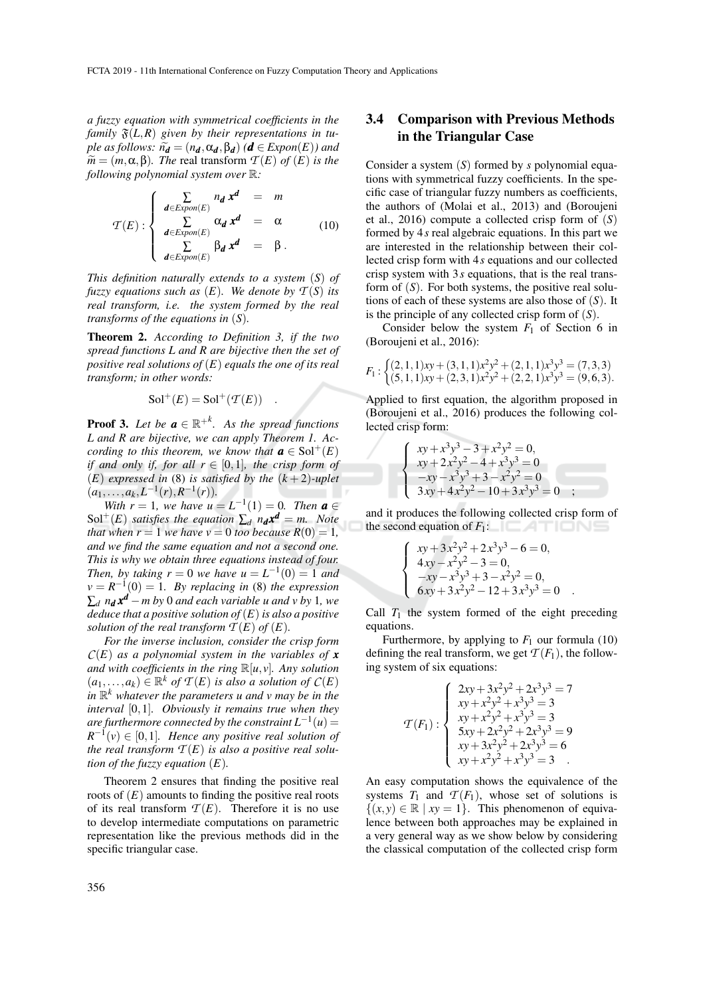*a fuzzy equation with symmetrical coefficients in the family*  $\mathfrak{F}(L, R)$  given by their representations in tu*ple as follows:*  $\widetilde{n_d} = (n_d, \alpha_d, \beta_d)$  ( $d \in Expon(E)$ ) and  $\widetilde{m} = (m, \alpha, \beta)$ *. The* real transform  $\mathcal{T}(E)$  *of*  $(E)$  *is the following polynomial system over* R*:*

$$
\mathcal{T}(E): \begin{cases}\n\sum_{\mathbf{d}\in Expon(E)} n_{\mathbf{d}} \mathbf{x}^{\mathbf{d}} = m \\
\sum_{\mathbf{d}\in Expon(E)} \alpha_{\mathbf{d}} \mathbf{x}^{\mathbf{d}} = \alpha \\
\sum_{\mathbf{d}\in Expon(E)} \beta_{\mathbf{d}} \mathbf{x}^{\mathbf{d}} = \beta.\n\end{cases}
$$
\n(10)

*This definition naturally extends to a system* (*S*) *of fuzzy equations such as*  $(E)$ *. We denote by*  $T(S)$  *its real transform, i.e. the system formed by the real transforms of the equations in* (*S*)*.*

Theorem 2. *According to Definition 3, if the two spread functions L and R are bijective then the set of positive real solutions of* (*E*) *equals the one of its real transform; in other words:*

$$
Sol^+(E) = Sol^+(\mathcal{T}(E)) .
$$

**Proof 3.** Let be  $a \in \mathbb{R}^{+k}$ . As the spread functions *L and R are bijective, we can apply Theorem 1. According to this theorem, we know that*  $a \in Sol<sup>+</sup>(E)$ *if and only if, for all*  $r \in [0,1]$ *, the crisp form of* (*E*) *expressed in* (8) *is satisfied by the* (*k* + 2)*-uplet*  $(a_1, \ldots, a_k, L^{-1}(r), R^{-1}(r)).$ 

*With*  $r = 1$ *, we have*  $u = L^{-1}(1) = 0$ *. Then*  $a \in$  $Sol<sup>+</sup>(E)$  *satisfies the equation*  $\sum_{d} n_d \mathbf{x}^d = m$ . Note *that when*  $r = 1$  *we have*  $v = 0$  *too because*  $R(0) = 1$ *, and we find the same equation and not a second one. This is why we obtain three equations instead of four. Then, by taking*  $r = 0$  *we have*  $u = L^{-1}(0) = 1$  *and*  $\nu = R^{-1}(0) = 1$ *. By replacing in* (8) *the expression* ∑*<sup>d</sup> n<sup>d</sup> x <sup>d</sup>* −*m by* 0 *and each variable u and v by* 1*, we deduce that a positive solution of*(*E*)*is also a positive solution of the real transform*  $T(E)$  *of*  $(E)$ *.* 

*For the inverse inclusion, consider the crisp form C*(*E*) *as a polynomial system in the variables of x and with coefficients in the ring*  $\mathbb{R}[u, v]$ *. Any solution*  $(a_1, \ldots, a_k) \in \mathbb{R}^k$  of  $\mathcal{T}(E)$  *is also a solution of*  $C(E)$ *in* R *<sup>k</sup> whatever the parameters u and v may be in the interval* [0,1]*. Obviously it remains true when they*  $\alpha$  are furthermore connected by the constraint  $L^{-1}(u) =$  $R^{-1}(v) \in [0,1]$ *. Hence any positive real solution of the real transform*  $T(E)$  *is also a positive real solution of the fuzzy equation* (*E*)*.*

Theorem 2 ensures that finding the positive real roots of  $(E)$  amounts to finding the positive real roots of its real transform  $T(E)$ . Therefore it is no use to develop intermediate computations on parametric representation like the previous methods did in the specific triangular case.

### 3.4 Comparison with Previous Methods in the Triangular Case

Consider a system (*S*) formed by *s* polynomial equations with symmetrical fuzzy coefficients. In the specific case of triangular fuzzy numbers as coefficients, the authors of (Molai et al., 2013) and (Boroujeni et al., 2016) compute a collected crisp form of (*S*) formed by 4*s* real algebraic equations. In this part we are interested in the relationship between their collected crisp form with 4*s* equations and our collected crisp system with 3*s* equations, that is the real transform of (*S*). For both systems, the positive real solutions of each of these systems are also those of (*S*). It is the principle of any collected crisp form of (*S*).

Consider below the system  $F_1$  of Section 6 in (Boroujeni et al., 2016):

$$
F_1: \begin{cases} (2,1,1)xy + (3,1,1)x^2y^2 + (2,1,1)x^3y^3 = (7,3,3) \\ (5,1,1)xy + (2,3,1)x^2y^2 + (2,2,1)x^3y^3 = (9,6,3). \end{cases}
$$

Applied to first equation, the algorithm proposed in (Boroujeni et al., 2016) produces the following collected crisp form:

$$
\begin{cases}\nxy + x^3y^3 - 3 + x^2y^2 = 0, \\
xy + 2x^2y^2 - 4 + x^3y^3 = 0 \\
-xy - x^3y^3 + 3 - x^2y^2 = 0 \\
3xy + 4x^2y^2 - 10 + 3x^3y^3 = 0\n\end{cases}
$$

and it produces the following collected crisp form of the second equation of  $F_1$ :  $\Box$   $\Box$ 

$$
xy + 3x2y2 + 2x3y3 - 6 = 0,\n4xy - x2y2 - 3 = 0,\n-xy - x3y3 + 3 - x2y2 = 0,\n6xy + 3x2y2 - 12 + 3x3y3 = 0.
$$

 $\sqrt{ }$  $\int$ 

 $\overline{\mathcal{L}}$ 

Call  $T_1$  the system formed of the eight preceding equations.

Furthermore, by applying to  $F_1$  our formula (10) defining the real transform, we get  $\mathcal{T}(F_1)$ , the following system of six equations:

$$
\mathcal{T}(F_1): \begin{cases}\n2xy + 3x^2y^2 + 2x^3y^3 = 7 \\
xy + x^2y^2 + x^3y^3 = 3 \\
xy + x^2y^2 + x^3y^3 = 3 \\
5xy + 2x^2y^2 + 2x^3y^3 = 9 \\
xy + 3x^2y^2 + 2x^3y^3 = 6 \\
xy + x^2y^2 + x^3y^3 = 3\n\end{cases}
$$

An easy computation shows the equivalence of the systems  $T_1$  and  $T(F_1)$ , whose set of solutions is  $\{(x, y) \in \mathbb{R} \mid xy = 1\}$ . This phenomenon of equivalence between both approaches may be explained in a very general way as we show below by considering the classical computation of the collected crisp form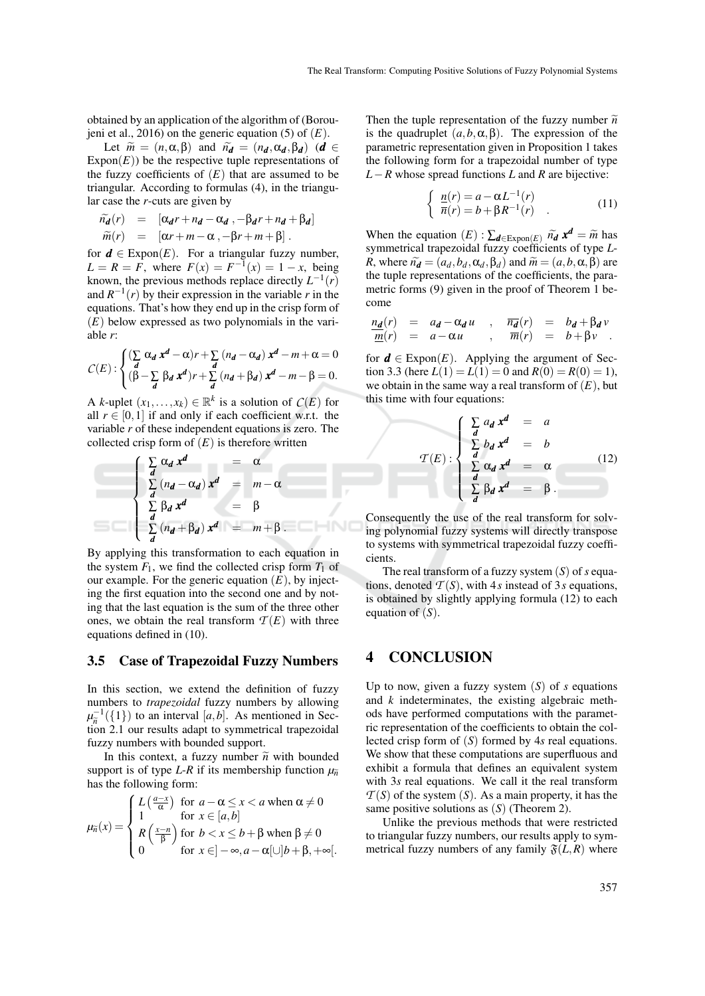obtained by an application of the algorithm of (Boroujeni et al., 2016) on the generic equation (5) of (*E*).

Let  $\widetilde{m} = (n, \alpha, \beta)$  and  $\widetilde{n_d} = (n_d, \alpha_d, \beta_d)$  (*d* ∈  $\text{Expon}(E)$ ) be the respective tuple representations of the fuzzy coefficients of  $(E)$  that are assumed to be triangular. According to formulas (4), in the triangular case the *r*-cuts are given by

$$
\widetilde{n_d}(r) = [\alpha_d r + n_d - \alpha_d , -\beta_d r + n_d + \beta_d]
$$
  
\n
$$
\widetilde{m}(r) = [\alpha r + m - \alpha , -\beta r + m + \beta].
$$

for  $d \in \text{Expon}(E)$ . For a triangular fuzzy number,  $L = R = F$ , where  $F(x) = F^{-1}(x) = 1 - x$ , being known, the previous methods replace directly  $L^{-1}(r)$ and  $R^{-1}(r)$  by their expression in the variable *r* in the equations. That's how they end up in the crisp form of (*E*) below expressed as two polynomials in the variable *r*:

$$
C(E): \begin{cases} (\sum_{d} \alpha_d x^d - \alpha) r + \sum_{d} (n_d - \alpha_d) x^d - m + \alpha = 0 \\ (\beta - \sum_{d} \beta_d x^d) r + \sum_{d} (n_d + \beta_d) x^d - m - \beta = 0. \end{cases}
$$

A *k*-uplet  $(x_1,...,x_k) \in \mathbb{R}^k$  is a solution of  $C(E)$  for all  $r \in [0,1]$  if and only if each coefficient w.r.t. the variable *r* of these independent equations is zero. The collected crisp form of  $(E)$  is therefore written

$$
\begin{cases}\n\sum_{d} \alpha_d x^d = \alpha \\
\sum_{d} (n_d - \alpha_d) x^d = m - \alpha \\
\sum_{d} \beta_d x^d = \beta \\
\sum_{d} (n_d + \beta_d) x^d = m + \beta.\n\end{cases}
$$

By applying this transformation to each equation in the system  $F_1$ , we find the collected crisp form  $T_1$  of our example. For the generic equation  $(E)$ , by injecting the first equation into the second one and by noting that the last equation is the sum of the three other ones, we obtain the real transform  $T(E)$  with three equations defined in (10).

#### 3.5 Case of Trapezoidal Fuzzy Numbers

In this section, we extend the definition of fuzzy numbers to *trapezoidal* fuzzy numbers by allowing  $\mu_{\tilde{n}}^{-1}(\{1\})$  to an interval [*a*,*b*]. As mentioned in Sec- $\mu_{\tilde{n}}$  (11) to an interval  $\mu, \nu$ . As including in Section 2.1 our results adapt to symmetrical trapezoidal fuzzy numbers with bounded support.

In this context, a fuzzy number  $\tilde{n}$  with bounded support is of type *L*-*R* if its membership function  $\mu_{\tilde{n}}$ has the following form:

$$
\mu_{\tilde{n}}(x) = \begin{cases} L\left(\frac{a-x}{\alpha}\right) & \text{for } a - \alpha \leq x < a \text{ when } \alpha \neq 0 \\ 1 & \text{for } x \in [a, b] \\ R\left(\frac{x-n}{\beta}\right) & \text{for } b < x \leq b + \beta \text{ when } \beta \neq 0 \\ 0 & \text{for } x \in ]-\infty, a - \alpha[\cup]b + \beta, +\infty[.
$$

Then the tuple representation of the fuzzy number  $\tilde{n}$ is the quadruplet  $(a, b, \alpha, \beta)$ . The expression of the parametric representation given in Proposition 1 takes the following form for a trapezoidal number of type *L*−*R* whose spread functions *L* and *R* are bijective:

$$
\begin{cases} \n\frac{n(r)}{\overline{n}(r)} = a - \alpha L^{-1}(r) \\
\overline{n}(r) = b + \beta R^{-1}(r) \n\end{cases} \n\tag{11}
$$

When the equation  $(E): \sum_{d \in \text{Expon}(E)} \widetilde{n_d} \cdot \mathbf{x}^d = \widetilde{m}$  has symmetrical transposited fuzzy coefficients of type  $L$ . symmetrical trapezoidal fuzzy coefficients of type *L*-*R*, where  $\tilde{n_d} = (a_d, b_d, \alpha_d, \beta_d)$  and  $\tilde{m} = (a, b, \alpha, \beta)$  are the tuple representations of the coefficients, the parametric forms (9) given in the proof of Theorem 1 become

$$
\frac{n_d(r)}{m(r)} = a_d - \alpha_d u \quad , \quad \overline{n_d}(r) = b_d + \beta_d v \n \overline{m}(r) = a - \alpha u \quad , \quad \overline{m}(r) = b + \beta v \quad .
$$

for  $d \in \text{Expon}(E)$ . Applying the argument of Section 3.3 (here  $L(1) = L(1) = 0$  and  $R(0) = R(0) = 1$ ), we obtain in the same way a real transform of  $(E)$ , but this time with four equations:

$$
\mathcal{T}(E): \begin{cases}\n\sum_{d} a_d \, x^d = a \\
\sum_{d} b_d \, x^d = b \\
\sum_{d} \alpha_d \, x^d = \alpha \\
\sum_{d} \beta_d \, x^d = \beta.\n\end{cases}
$$
\n(12)

Consequently the use of the real transform for solving polynomial fuzzy systems will directly transpose to systems with symmetrical trapezoidal fuzzy coefficients.

The real transform of a fuzzy system (*S*) of *s* equations, denoted  $T(S)$ , with 4*s* instead of 3*s* equations, is obtained by slightly applying formula (12) to each equation of (*S*).

### 4 CONCLUSION

Up to now, given a fuzzy system (*S*) of *s* equations and *k* indeterminates, the existing algebraic methods have performed computations with the parametric representation of the coefficients to obtain the collected crisp form of (*S*) formed by 4*s* real equations. We show that these computations are superfluous and exhibit a formula that defines an equivalent system with 3*s* real equations. We call it the real transform  $T(S)$  of the system  $(S)$ . As a main property, it has the same positive solutions as (*S*) (Theorem 2).

Unlike the previous methods that were restricted to triangular fuzzy numbers, our results apply to symmetrical fuzzy numbers of any family  $\mathfrak{F}(L,R)$  where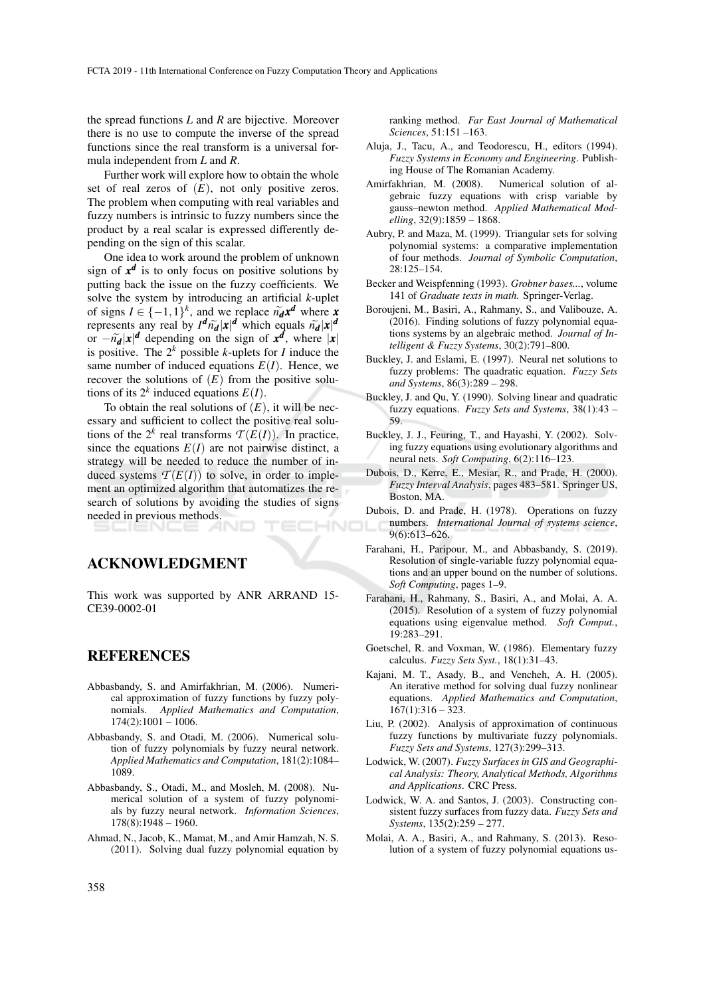the spread functions *L* and *R* are bijective. Moreover there is no use to compute the inverse of the spread functions since the real transform is a universal formula independent from *L* and *R*.

Further work will explore how to obtain the whole set of real zeros of  $(E)$ , not only positive zeros. The problem when computing with real variables and fuzzy numbers is intrinsic to fuzzy numbers since the product by a real scalar is expressed differently depending on the sign of this scalar.

One idea to work around the problem of unknown sign of  $x^d$  is to only focus on positive solutions by putting back the issue on the fuzzy coefficients. We solve the system by introducing an artificial *k*-uplet of signs  $I \in \{-1,1\}^k$ , and we replace  $\tilde{n}_d x^d$  where *x*<br>represents any real by  $d^d \tilde{n} \cdot |x|^d$  which equals  $\tilde{n} \cdot |x|^d$ represents any real by  $I^d \tilde{n}_d |x|^d$  which equals  $\tilde{n}_d |x|^d$ <br>or  $-\tilde{n}_d |x|^d$  depending on the sign of  $x^d$  where |**x** or  $-\tilde{n}_d |x|^d$  depending on the sign of  $x^d$ , where  $|x|$ <br>is positive. The 2<sup>*k*</sup> possible *k*-uplets for *l* induce the is positive. The 2*<sup>k</sup>* possible *k*-uplets for *I* induce the same number of induced equations  $E(I)$ . Hence, we recover the solutions of  $(E)$  from the positive solutions of its  $2^k$  induced equations  $E(I)$ .

To obtain the real solutions of  $(E)$ , it will be necessary and sufficient to collect the positive real solutions of the  $2^k$  real transforms  $\mathcal{T}(E(I))$ . In practice, since the equations  $E(I)$  are not pairwise distinct, a strategy will be needed to reduce the number of induced systems  $T(E(I))$  to solve, in order to implement an optimized algorithm that automatizes the research of solutions by avoiding the studies of signs needed in previous methods.

### ACKNOWLEDGMENT

This work was supported by ANR ARRAND 15- CE39-0002-01

#### REFERENCES

- Abbasbandy, S. and Amirfakhrian, M. (2006). Numerical approximation of fuzzy functions by fuzzy polynomials. *Applied Mathematics and Computation*,  $174(2):1001 - 1006.$
- Abbasbandy, S. and Otadi, M. (2006). Numerical solution of fuzzy polynomials by fuzzy neural network. *Applied Mathematics and Computation*, 181(2):1084– 1089.
- Abbasbandy, S., Otadi, M., and Mosleh, M. (2008). Numerical solution of a system of fuzzy polynomials by fuzzy neural network. *Information Sciences*,  $178(8):1948 - 1960.$
- Ahmad, N., Jacob, K., Mamat, M., and Amir Hamzah, N. S. (2011). Solving dual fuzzy polynomial equation by

ranking method. *Far East Journal of Mathematical Sciences*, 51:151 –163.

- Aluja, J., Tacu, A., and Teodorescu, H., editors (1994). *Fuzzy Systems in Economy and Engineering*. Publishing House of The Romanian Academy.
- Amirfakhrian, M. (2008). Numerical solution of algebraic fuzzy equations with crisp variable by gauss–newton method. *Applied Mathematical Modelling*, 32(9):1859 – 1868.
- Aubry, P. and Maza, M. (1999). Triangular sets for solving polynomial systems: a comparative implementation of four methods. *Journal of Symbolic Computation*, 28:125–154.
- Becker and Weispfenning (1993). *Grobner bases...*, volume 141 of *Graduate texts in math.* Springer-Verlag.
- Boroujeni, M., Basiri, A., Rahmany, S., and Valibouze, A. (2016). Finding solutions of fuzzy polynomial equations systems by an algebraic method. *Journal of Intelligent & Fuzzy Systems*, 30(2):791–800.
- Buckley, J. and Eslami, E. (1997). Neural net solutions to fuzzy problems: The quadratic equation. *Fuzzy Sets and Systems*, 86(3):289 – 298.
- Buckley, J. and Qu, Y. (1990). Solving linear and quadratic fuzzy equations. *Fuzzy Sets and Systems*, 38(1):43 – 59.
- Buckley, J. J., Feuring, T., and Hayashi, Y. (2002). Solving fuzzy equations using evolutionary algorithms and neural nets. *Soft Computing*, 6(2):116–123.
- Dubois, D., Kerre, E., Mesiar, R., and Prade, H. (2000). *Fuzzy Interval Analysis*, pages 483–581. Springer US, Boston, MA.
- Dubois, D. and Prade, H. (1978). Operations on fuzzy numbers. *International Journal of systems science*, 9(6):613–626.
- Farahani, H., Paripour, M., and Abbasbandy, S. (2019). Resolution of single-variable fuzzy polynomial equations and an upper bound on the number of solutions. *Soft Computing*, pages 1–9.
- Farahani, H., Rahmany, S., Basiri, A., and Molai, A. A. (2015). Resolution of a system of fuzzy polynomial equations using eigenvalue method. *Soft Comput.*, 19:283–291.
- Goetschel, R. and Voxman, W. (1986). Elementary fuzzy calculus. *Fuzzy Sets Syst.*, 18(1):31–43.
- Kajani, M. T., Asady, B., and Vencheh, A. H. (2005). An iterative method for solving dual fuzzy nonlinear equations. *Applied Mathematics and Computation*,  $167(1):316 - 323.$
- Liu, P. (2002). Analysis of approximation of continuous fuzzy functions by multivariate fuzzy polynomials. *Fuzzy Sets and Systems*, 127(3):299–313.
- Lodwick, W. (2007). *Fuzzy Surfaces in GIS and Geographical Analysis: Theory, Analytical Methods, Algorithms and Applications*. CRC Press.
- Lodwick, W. A. and Santos, J. (2003). Constructing consistent fuzzy surfaces from fuzzy data. *Fuzzy Sets and Systems*, 135(2):259 – 277.
- Molai, A. A., Basiri, A., and Rahmany, S. (2013). Resolution of a system of fuzzy polynomial equations us-